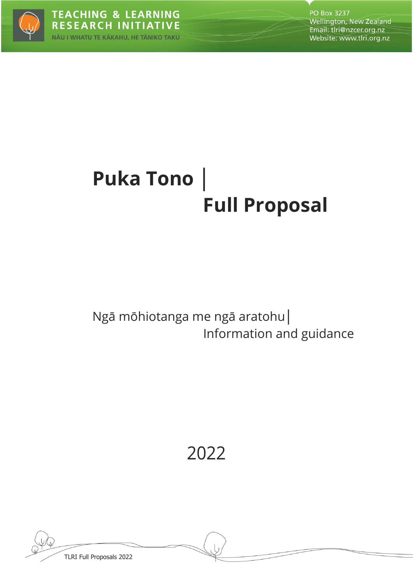

# **Puka Tono │ Full Proposal**

## Ngā mōhiotanga me ngā aratohu│ Information and guidance

2022

TLRI Full Proposals 2022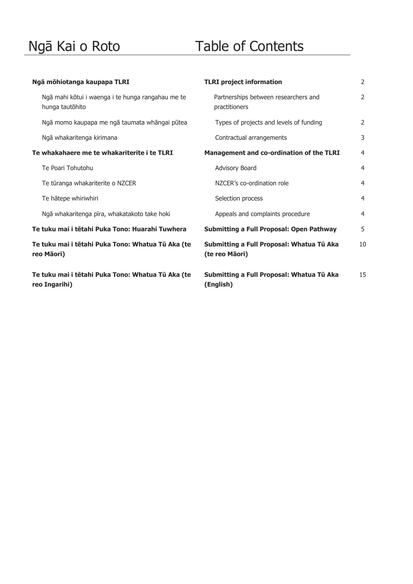## Ngā Kai o Roto Table of Contents

| Ngā mōhiotanga kaupapa TLRI                                          | <b>TLRI</b> project information                             | $\overline{2}$ |
|----------------------------------------------------------------------|-------------------------------------------------------------|----------------|
| Ngā mahi kōtui i waenga i te hunga rangahau me te<br>hunga tautōhito | Partnerships between researchers and<br>practitioners       | 2              |
| Ngā momo kaupapa me ngā taumata whāngai pūtea                        | Types of projects and levels of funding                     | 2              |
| Ngā whakaritenga kirimana                                            | Contractual arrangements                                    | 3              |
| Te whakahaere me te whakariterite i te TLRI                          | <b>Management and co-ordination of the TLRI</b>             | 4              |
| Te Poari Tohutohu                                                    | Advisory Board                                              | $\overline{4}$ |
| Te tūranga whakariterite o NZCER                                     | NZCER's co-ordination role                                  | $\overline{4}$ |
| Te hātepe whiriwhiri                                                 | Selection process                                           | $\overline{4}$ |
| Ngā whakaritenga pīra, whakatakoto take hoki                         | Appeals and complaints procedure                            | $\overline{4}$ |
| Te tuku mai i tētahi Puka Tono: Huarahi Tuwhera                      | <b>Submitting a Full Proposal: Open Pathway</b>             | 5              |
| Te tuku mai i tētahi Puka Tono: Whatua Tū Aka (te<br>reo Māori)      | Submitting a Full Proposal: Whatua Tū Aka<br>(te reo Māori) | 10             |
| Te tuku mai i tētahi Puka Tono: Whatua Tū Aka (te<br>reo Ingarihi)   | Submitting a Full Proposal: Whatua Tū Aka<br>(English)      | 15             |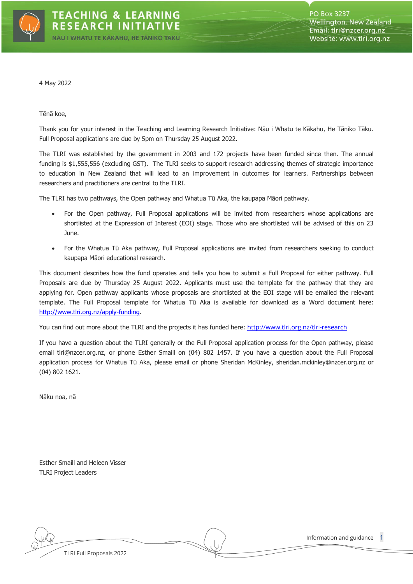

4 May 2022

#### Tēnā koe,

Thank you for your interest in the Teaching and Learning Research Initiative: Nāu i Whatu te Kākahu, He Tāniko Tāku. Full Proposal applications are due by 5pm on Thursday 25 August 2022.

The TLRI was established by the government in 2003 and 172 projects have been funded since then. The annual funding is \$1,555,556 (excluding GST). The TLRI seeks to support research addressing themes of strategic importance to education in New Zealand that will lead to an improvement in outcomes for learners. Partnerships between researchers and practitioners are central to the TLRI.

The TLRI has two pathways, the Open pathway and Whatua Tū Aka, the kaupapa Māori pathway.

- For the Open pathway, Full Proposal applications will be invited from researchers whose applications are shortlisted at the Expression of Interest (EOI) stage. Those who are shortlisted will be advised of this on 23 June.
- For the Whatua Tū Aka pathway, Full Proposal applications are invited from researchers seeking to conduct kaupapa Māori educational research.

This document describes how the fund operates and tells you how to submit a Full Proposal for either pathway. Full Proposals are due by Thursday 25 August 2022. Applicants must use the template for the pathway that they are applying for. Open pathway applicants whose proposals are shortlisted at the EOI stage will be emailed the relevant template. The Full Proposal template for Whatua Tū Aka is available for download as a Word document here: [http://www.tlri.org.nz/apply](http://www.tlri.org.nz/apply-funding)-funding.

You can find out more about the TLRI and the projects it has funded here: [http://www.tlri.org.nz/tlri](http://www.tlri.org.nz/tlri-research)-research

If you have a question about the TLRI generally or the Full Proposal application process for the Open pathway, please email tlri@nzcer.org.nz, or phone Esther Smaill on (04) 802 1457. If you have a question about the Full Proposal application process for Whatua Tū Aka, please email or phone Sheridan McKinley, sheridan.mckinley@nzcer.org.nz or (04) 802 1621.

Nāku noa, nā

Esther Smaill and Heleen Visser TLRI Project Leaders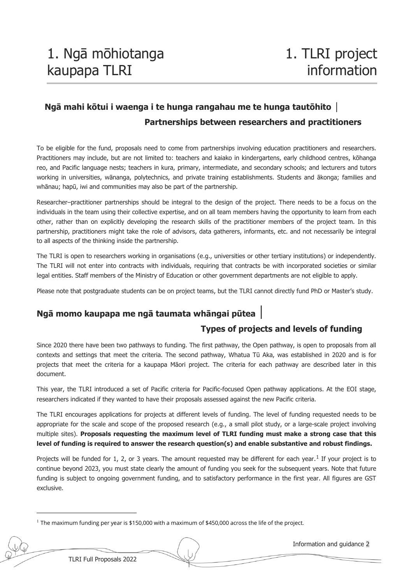### **Ngā mahi kōtui i waenga i te hunga rangahau me te hunga tautōhito │ Partnerships between researchers and practitioners**

To be eligible for the fund, proposals need to come from partnerships involving education practitioners and researchers. Practitioners may include, but are not limited to: teachers and kaiako in kindergartens, early childhood centres, kōhanga reo, and Pacific language nests; teachers in kura, primary, intermediate, and secondary schools; and lecturers and tutors working in universities, wānanga, polytechnics, and private training establishments. Students and ākonga; families and whānau; hapū, iwi and communities may also be part of the partnership.

Researcher–practitioner partnerships should be integral to the design of the project. There needs to be a focus on the individuals in the team using their collective expertise, and on all team members having the opportunity to learn from each other, rather than on explicitly developing the research skills of the practitioner members of the project team. In this partnership, practitioners might take the role of advisors, data gatherers, informants, etc. and not necessarily be integral to all aspects of the thinking inside the partnership.

The TLRI is open to researchers working in organisations (e.g., universities or other tertiary institutions) or independently. The TLRI will not enter into contracts with individuals, requiring that contracts be with incorporated societies or similar legal entities. Staff members of the Ministry of Education or other government departments are not eligible to apply.

Please note that postgraduate students can be on project teams, but the TLRI cannot directly fund PhD or Master's study.

### **Ngā momo kaupapa me ngā taumata whāngai pūtea** │

### **Types of projects and levels of funding**

Since 2020 there have been two pathways to funding. The first pathway, the Open pathway, is open to proposals from all contexts and settings that meet the criteria. The second pathway, Whatua Tū Aka, was established in 2020 and is for projects that meet the criteria for a kaupapa Māori project. The criteria for each pathway are described later in this document.

This year, the TLRI introduced a set of Pacific criteria for Pacific-focused Open pathway applications. At the EOI stage, researchers indicated if they wanted to have their proposals assessed against the new Pacific criteria.

The TLRI encourages applications for projects at different levels of funding. The level of funding requested needs to be appropriate for the scale and scope of the proposed research (e.g., a small pilot study, or a large-scale project involving multiple sites). **Proposals requesting the maximum level of TLRI funding must make a strong case that this level of funding is required to answer the research question(s) and enable substantive and robust findings.** 

Projects will be funded for [1](#page-3-0), 2, or 3 years. The amount requested may be different for each year.<sup>1</sup> If your project is to continue beyond 2023, you must state clearly the amount of funding you seek for the subsequent years. Note that future funding is subject to ongoing government funding, and to satisfactory performance in the first year. All figures are GST exclusive.

<span id="page-3-0"></span><sup>&</sup>lt;sup>1</sup> The maximum funding per year is \$150,000 with a maximum of \$450,000 across the life of the project.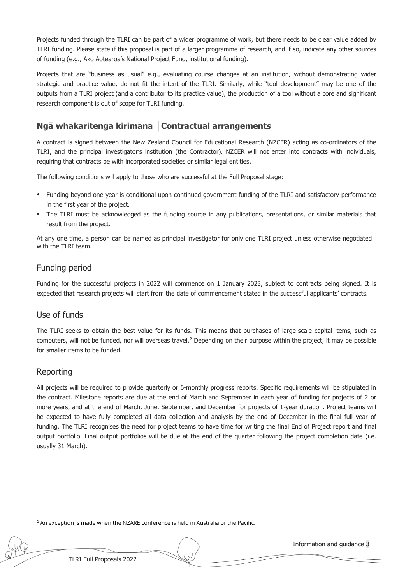Projects funded through the TLRI can be part of a wider programme of work, but there needs to be clear value added by TLRI funding. Please state if this proposal is part of a larger programme of research, and if so, indicate any other sources of funding (e.g., Ako Aotearoa's National Project Fund, institutional funding).

Projects that are "business as usual" e.g., evaluating course changes at an institution, without demonstrating wider strategic and practice value, do not fit the intent of the TLRI. Similarly, while "tool development" may be one of the outputs from a TLRI project (and a contributor to its practice value), the production of a tool without a core and significant research component is out of scope for TLRI funding.

### **Ngā whakaritenga kirimana │Contractual arrangements**

A contract is signed between the New Zealand Council for Educational Research (NZCER) acting as co-ordinators of the TLRI, and the principal investigator's institution (the Contractor). NZCER will not enter into contracts with individuals, requiring that contracts be with incorporated societies or similar legal entities.

The following conditions will apply to those who are successful at the Full Proposal stage:

- Funding beyond one year is conditional upon continued government funding of the TLRI and satisfactory performance in the first year of the project.
- The TLRI must be acknowledged as the funding source in any publications, presentations, or similar materials that result from the project.

At any one time, a person can be named as principal investigator for only one TLRI project unless otherwise negotiated with the TLRI team.

### Funding period

Funding for the successful projects in 2022 will commence on 1 January 2023, subject to contracts being signed. It is expected that research projects will start from the date of commencement stated in the successful applicants' contracts.

### Use of funds

The TLRI seeks to obtain the best value for its funds. This means that purchases of large-scale capital items, such as computers, will not be funded, nor will overseas travel.<sup>[2](#page-4-0)</sup> Depending on their purpose within the project, it may be possible for smaller items to be funded.

### Reporting

All projects will be required to provide quarterly or 6-monthly progress reports. Specific requirements will be stipulated in the contract. Milestone reports are due at the end of March and September in each year of funding for projects of 2 or more years, and at the end of March, June, September, and December for projects of 1-year duration. Project teams will be expected to have fully completed all data collection and analysis by the end of December in the final full year of funding. The TLRI recognises the need for project teams to have time for writing the final End of Project report and final output portfolio. Final output portfolios will be due at the end of the quarter following the project completion date (i.e. usually 31 March).

<span id="page-4-0"></span><sup>&</sup>lt;sup>2</sup> An exception is made when the NZARE conference is held in Australia or the Pacific.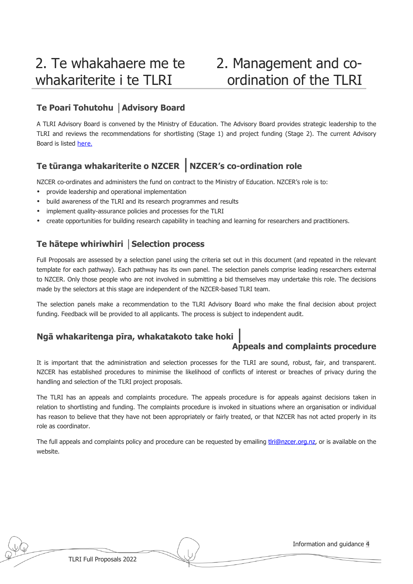### 2. Management and coordination of the TLRI

### **Te Poari Tohutohu │Advisory Board**

A TLRI Advisory Board is convened by the Ministry of Education. The Advisory Board provides strategic leadership to the TLRI and reviews the recommendations for shortlisting (Stage 1) and project funding (Stage 2). The current Advisory Board is listed [here.](http://www.tlri.org.nz/tlri-people/tlri-advisory-board)

### **Te tūranga whakariterite o NZCER** │**NZCER's co-ordination role**

NZCER co-ordinates and administers the fund on contract to the Ministry of Education. NZCER's role is to:

- provide leadership and operational implementation
- build awareness of the TLRI and its research programmes and results
- implement quality-assurance policies and processes for the TLRI
- create opportunities for building research capability in teaching and learning for researchers and practitioners.

### **Te hātepe whiriwhiri │Selection process**

Full Proposals are assessed by a selection panel using the criteria set out in this document (and repeated in the relevant template for each pathway). Each pathway has its own panel. The selection panels comprise leading researchers external to NZCER. Only those people who are not involved in submitting a bid themselves may undertake this role. The decisions made by the selectors at this stage are independent of the NZCER-based TLRI team.

The selection panels make a recommendation to the TLRI Advisory Board who make the final decision about project funding. Feedback will be provided to all applicants. The process is subject to independent audit.

### **Ngā whakaritenga pīra, whakatakoto take hoki** │

### **Appeals and complaints procedure**

It is important that the administration and selection processes for the TLRI are sound, robust, fair, and transparent. NZCER has established procedures to minimise the likelihood of conflicts of interest or breaches of privacy during the handling and selection of the TLRI project proposals.

The TLRI has an appeals and complaints procedure. The appeals procedure is for appeals against decisions taken in relation to shortlisting and funding. The complaints procedure is invoked in situations where an organisation or individual has reason to believe that they have not been appropriately or fairly treated, or that NZCER has not acted properly in its role as coordinator.

The full appeals and complaints policy and procedure can be requested by emailing [tlri@nzcer.org.nz,](mailto:tlri@nzcer.org.nz) or is available on the website.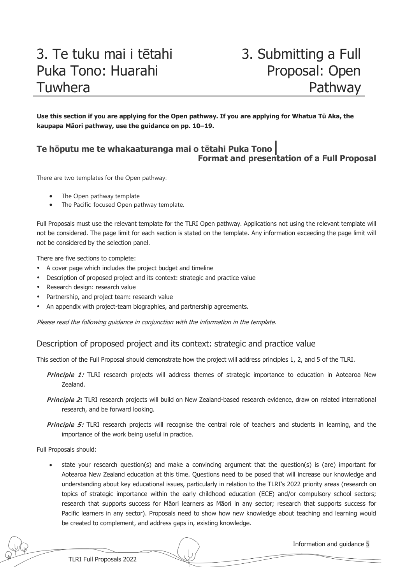### 3. Te tuku mai i tētahi Puka Tono: Huarahi Tuwhera

### 3. Submitting a Full Proposal: Open Pathway

**Use this section if you are applying for the Open pathway. If you are applying for Whatua Tū Aka, the kaupapa Māori pathway, use the guidance on pp. 10–19.**

### **Te hōputu me te whakaaturanga mai o tētahi Puka Tono**│ **Format and presentation of a Full Proposal**

There are two templates for the Open pathway:

- The Open pathway template
- The Pacific-focused Open pathway template.

Full Proposals must use the relevant template for the TLRI Open pathway. Applications not using the relevant template will not be considered. The page limit for each section is stated on the template. Any information exceeding the page limit will not be considered by the selection panel.

There are five sections to complete:

- A cover page which includes the project budget and timeline
- Description of proposed project and its context: strategic and practice value
- Research design: research value
- Partnership, and project team: research value
- An appendix with project-team biographies, and partnership agreements.

Please read the following guidance in conjunction with the information in the template.

#### Description of proposed project and its context: strategic and practice value

This section of the Full Proposal should demonstrate how the project will address principles 1, 2, and 5 of the TLRI.

- Principle 1: TLRI research projects will address themes of strategic importance to education in Aotearoa New Zealand.
- Principle 2**:** TLRI research projects will build on New Zealand-based research evidence, draw on related international research, and be forward looking.
- Principle 5: TLRI research projects will recognise the central role of teachers and students in learning, and the importance of the work being useful in practice.

Full Proposals should:

state your research question(s) and make a convincing argument that the question(s) is (are) important for Aotearoa New Zealand education at this time. Questions need to be posed that will increase our knowledge and understanding about key educational issues, particularly in relation to the TLRI's 2022 priority areas (research on topics of strategic importance within the early childhood education (ECE) and/or compulsory school sectors; research that supports success for Māori learners as Māori in any sector; research that supports success for Pacific learners in any sector). Proposals need to show how new knowledge about teaching and learning would be created to complement, and address gaps in, existing knowledge.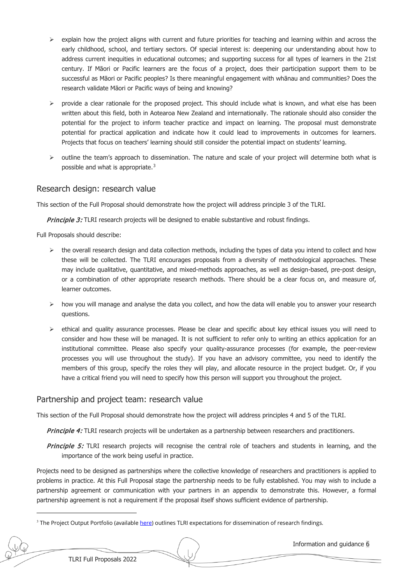- $\triangleright$  explain how the project aligns with current and future priorities for teaching and learning within and across the early childhood, school, and tertiary sectors. Of special interest is: deepening our understanding about how to address current inequities in educational outcomes; and supporting success for all types of learners in the 21st century. If Māori or Pacific learners are the focus of a project, does their participation support them to be successful as Māori or Pacific peoples? Is there meaningful engagement with whānau and communities? Does the research validate Māori or Pacific ways of being and knowing?
- $\triangleright$  provide a clear rationale for the proposed project. This should include what is known, and what else has been written about this field, both in Aotearoa New Zealand and internationally. The rationale should also consider the potential for the project to inform teacher practice and impact on learning. The proposal must demonstrate potential for practical application and indicate how it could lead to improvements in outcomes for learners. Projects that focus on teachers' learning should still consider the potential impact on students' learning.
- $\triangleright$  outline the team's approach to dissemination. The nature and scale of your project will determine both what is possible and what is appropriate.[3](#page-7-0)

#### Research design: research value

This section of the Full Proposal should demonstrate how the project will address principle 3 of the TLRI.

**Principle 3:** TLRI research projects will be designed to enable substantive and robust findings.

Full Proposals should describe:

- $\triangleright$  the overall research design and data collection methods, including the types of data you intend to collect and how these will be collected. The TLRI encourages proposals from a diversity of methodological approaches. These may include qualitative, quantitative, and mixed-methods approaches, as well as design-based, pre-post design, or a combination of other appropriate research methods. There should be a clear focus on, and measure of, learner outcomes.
- $\triangleright$  how you will manage and analyse the data you collect, and how the data will enable you to answer your research questions.
- $\triangleright$  ethical and quality assurance processes. Please be clear and specific about key ethical issues you will need to consider and how these will be managed. It is not sufficient to refer only to writing an ethics application for an institutional committee. Please also specify your quality-assurance processes (for example, the peer-review processes you will use throughout the study). If you have an advisory committee, you need to identify the members of this group, specify the roles they will play, and allocate resource in the project budget. Or, if you have a critical friend you will need to specify how this person will support you throughout the project.

#### Partnership and project team: research value

This section of the Full Proposal should demonstrate how the project will address principles 4 and 5 of the TLRI.

Principle 4: TLRI research projects will be undertaken as a partnership between researchers and practitioners.

Principle 5: TLRI research projects will recognise the central role of teachers and students in learning, and the importance of the work being useful in practice.

Projects need to be designed as partnerships where the collective knowledge of researchers and practitioners is applied to problems in practice. At this Full Proposal stage the partnership needs to be fully established. You may wish to include a partnership agreement or communication with your partners in an appendix to demonstrate this. However, a formal partnership agreement is not a requirement if the proposal itself shows sufficient evidence of partnership.

<span id="page-7-0"></span><sup>&</sup>lt;sup>3</sup> The Project Output Portfolio (available [here\)](http://www.tlri.org.nz/sites/default/files/pages/Project%20Output%20Portfolio%20Guidelines%20-%202018_0.pdf) outlines TLRI expectations for dissemination of research findings.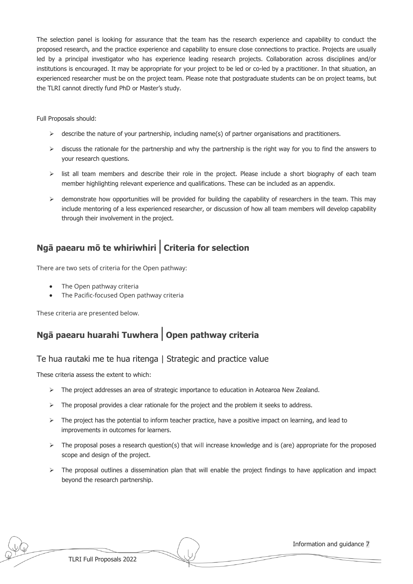The selection panel is looking for assurance that the team has the research experience and capability to conduct the proposed research, and the practice experience and capability to ensure close connections to practice. Projects are usually led by a principal investigator who has experience leading research projects. Collaboration across disciplines and/or institutions is encouraged. It may be appropriate for your project to be led or co-led by a practitioner. In that situation, an experienced researcher must be on the project team. Please note that postgraduate students can be on project teams, but the TLRI cannot directly fund PhD or Master's study.

Full Proposals should:

- $\triangleright$  describe the nature of your partnership, including name(s) of partner organisations and practitioners.
- $\triangleright$  discuss the rationale for the partnership and why the partnership is the right way for you to find the answers to your research questions.
- $\triangleright$  list all team members and describe their role in the project. Please include a short biography of each team member highlighting relevant experience and qualifications. These can be included as an appendix.
- $\triangleright$  demonstrate how opportunities will be provided for building the capability of researchers in the team. This may include mentoring of a less experienced researcher, or discussion of how all team members will develop capability through their involvement in the project.

### **Ngā paearu mō te whiriwhiri**│**Criteria for selection**

There are two sets of criteria for the Open pathway:

- The Open pathway criteria
- The Pacific-focused Open pathway criteria

These criteria are presented below.

### **Ngā paearu huarahi Tuwhera**│**Open pathway criteria**

### Te hua rautaki me te hua ritenga | Strategic and practice value

These criteria assess the extent to which:

- > The project addresses an area of strategic importance to education in Aotearoa New Zealand.
- $\triangleright$  The proposal provides a clear rationale for the project and the problem it seeks to address.
- $\triangleright$  The project has the potential to inform teacher practice, have a positive impact on learning, and lead to improvements in outcomes for learners.
- $\triangleright$  The proposal poses a research question(s) that will increase knowledge and is (are) appropriate for the proposed scope and design of the project.
- $\triangleright$  The proposal outlines a dissemination plan that will enable the project findings to have application and impact beyond the research partnership.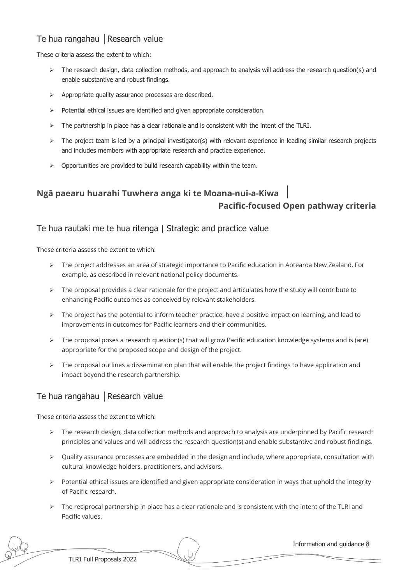### Te hua rangahau | Research value

These criteria assess the extent to which:

- $\triangleright$  The research design, data collection methods, and approach to analysis will address the research question(s) and enable substantive and robust findings.
- > Appropriate quality assurance processes are described.
- $\triangleright$  Potential ethical issues are identified and given appropriate consideration.
- $\triangleright$  The partnership in place has a clear rationale and is consistent with the intent of the TLRI.
- $\triangleright$  The project team is led by a principal investigator(s) with relevant experience in leading similar research projects and includes members with appropriate research and practice experience.
- $\triangleright$  Opportunities are provided to build research capability within the team.

### **Ngā paearu huarahi Tuwhera anga ki te Moana-nui-a-Kiwa** │ **Pacific-focused Open pathway criteria**

Te hua rautaki me te hua ritenga | Strategic and practice value

These criteria assess the extent to which:

- The project addresses an area of strategic importance to Pacific education in Aotearoa New Zealand. For example, as described in relevant national policy documents.
- $\triangleright$  The proposal provides a clear rationale for the project and articulates how the study will contribute to enhancing Pacific outcomes as conceived by relevant stakeholders.
- $\triangleright$  The project has the potential to inform teacher practice, have a positive impact on learning, and lead to improvements in outcomes for Pacific learners and their communities.
- $\triangleright$  The proposal poses a research question(s) that will grow Pacific education knowledge systems and is (are) appropriate for the proposed scope and design of the project.
- $\triangleright$  The proposal outlines a dissemination plan that will enable the project findings to have application and impact beyond the research partnership.

### Te hua rangahau | Research value

These criteria assess the extent to which:

- $\triangleright$  The research design, data collection methods and approach to analysis are underpinned by Pacific research principles and values and will address the research question(s) and enable substantive and robust findings.
- $\triangleright$  Quality assurance processes are embedded in the design and include, where appropriate, consultation with cultural knowledge holders, practitioners, and advisors.
- Potential ethical issues are identified and given appropriate consideration in ways that uphold the integrity of Pacific research.
- $\triangleright$  The reciprocal partnership in place has a clear rationale and is consistent with the intent of the TLRI and Pacific values.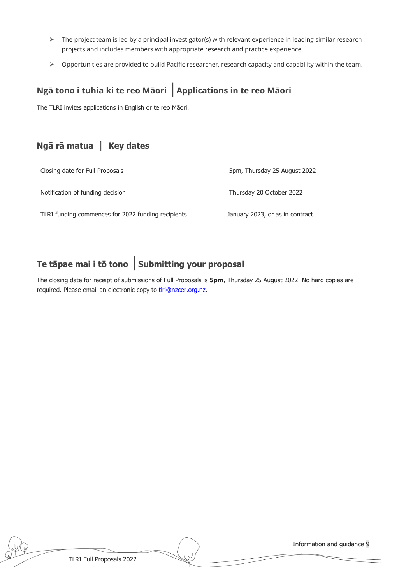- > The project team is led by a principal investigator(s) with relevant experience in leading similar research projects and includes members with appropriate research and practice experience.
- ▶ Opportunities are provided to build Pacific researcher, research capacity and capability within the team.

### **Ngā tono i tuhia ki te reo Māori** │**Applications in te reo Māori**

The TLRI invites applications in English or te reo Māori.

### **Ngā rā matua** │ **Key dates**

| Closing date for Full Proposals                    | 5pm, Thursday 25 August 2022    |
|----------------------------------------------------|---------------------------------|
| Notification of funding decision                   | Thursday 20 October 2022        |
| TLRI funding commences for 2022 funding recipients | January 2023, or as in contract |

### **Te tāpae mai i tō tono** │**Submitting your proposal**

The closing date for receipt of submissions of Full Proposals is **5pm**, Thursday 25 August 2022. No hard copies are required. Please email an electronic copy to thri@nzcer.org.nz.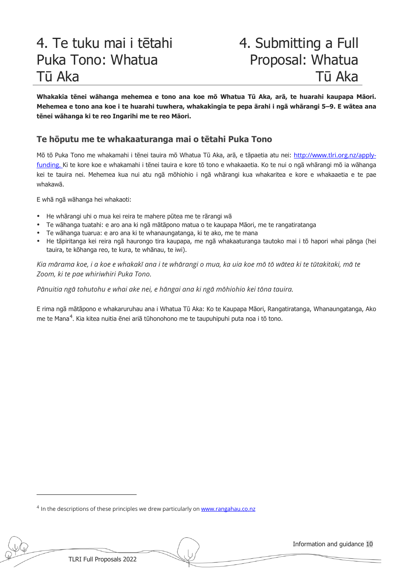## 4. Te tuku mai i tētahi Puka Tono: Whatua Tū Aka

### 4. Submitting a Full Proposal: Whatua Tū Aka

**Whakakīa tēnei wāhanga mehemea e tono ana koe mō Whatua Tū Aka, arā, te huarahi kaupapa Māori. Mehemea e tono ana koe i te huarahi tuwhera, whakakīngia te pepa ārahi i ngā whārangi 5–9. E wātea ana tēnei wāhanga ki te reo Ingarihi me te reo Māori.** 

### **Te hōputu me te whakaaturanga mai o tētahi Puka Tono**

Mō tō Puka Tono me whakamahi i tēnei tauira mō Whatua Tū Aka, arā, e tāpaetia atu nei: [http://www.tlri.org.nz/apply](http://www.tlri.org.nz/apply-funding)[funding.](http://www.tlri.org.nz/apply-funding) Ki te kore koe e whakamahi i tēnei tauira e kore tō tono e whakaaetia. Ko te nui o ngā whārangi mō ia wāhanga kei te tauira nei. Mehemea kua nui atu ngā mōhiohio i ngā whārangi kua whakaritea e kore e whakaaetia e te pae whakawā.

E whā ngā wāhanga hei whakaoti:

- He whārangi uhi o mua kei reira te mahere pūtea me te rārangi wā
- Te wāhanga tuatahi: e aro ana ki ngā mātāpono matua o te kaupapa Māori, me te rangatiratanga
- Te wāhanga tuarua: e aro ana ki te whanaungatanga, ki te ako, me te mana
- He tāpiritanga kei reira ngā haurongo tira kaupapa, me ngā whakaaturanga tautoko mai i tō hapori whai pānga (hei tauira, te kōhanga reo, te kura, te whānau, te iwi).

*Kia mārama koe, i a koe e whakakī ana i te whārangi o mua, ka uia koe mō tō wātea ki te tūtakitaki, mā te Zoom, ki te pae whiriwhiri Puka Tono.* 

*Pānuitia ngā tohutohu e whai ake nei, e hāngai ana ki ngā mōhiohio kei tōna tauira.*

E rima ngā mātāpono e whakaruruhau ana i Whatua Tū Aka: Ko te Kaupapa Māori, Rangatiratanga, Whanaungatanga, Ako me te Mana<sup>[4](#page-11-0)</sup>. Kia kitea nuitia ēnei ariā tūhonohono me te taupuhipuhi puta noa i tō tono.

<span id="page-11-0"></span><sup>4</sup> In the descriptions of these principles we drew particularly o[n www.rangahau.co.nz](http://www.rangahau.co.nz/)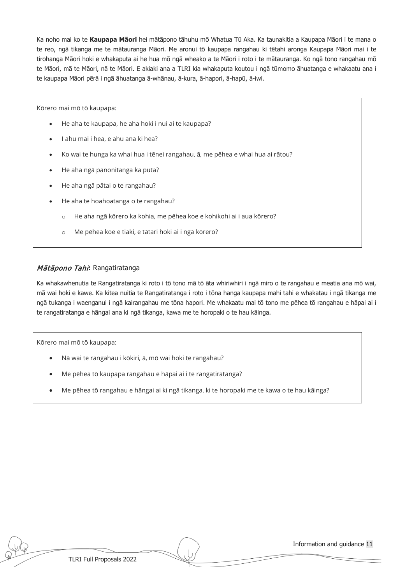Ka noho mai ko te **Kaupapa Māori** hei mātāpono tāhuhu mō Whatua Tū Aka. Ka taunakitia a Kaupapa Māori i te mana o te reo, ngā tikanga me te mātauranga Māori. Me aronui tō kaupapa rangahau ki tētahi aronga Kaupapa Māori mai i te tirohanga Māori hoki e whakaputa ai he hua mō ngā wheako a te Māori i roto i te mātauranga. Ko ngā tono rangahau mō te Māori, mā te Māori, nā te Māori. E akiaki ana a TLRI kia whakaputa koutou i ngā tūmomo āhuatanga e whakaatu ana i te kaupapa Māori pērā i ngā āhuatanga ā-whānau, ā-kura, ā-hapori, ā-hapū, ā-iwi.

Kōrero mai mō tō kaupapa:

- He aha te kaupapa, he aha hoki i nui ai te kaupapa?
- I ahu mai i hea, e ahu ana ki hea?
- Ko wai te hunga ka whai hua i tēnei rangahau, ā, me pēhea e whai hua ai rātou?
- He aha ngā panonitanga ka puta?
- He aha ngā pātai o te rangahau?
- He aha te hoahoatanga o te rangahau?
	- o He aha ngā kōrero ka kohia, me pēhea koe e kohikohi ai i aua kōrero?
	- o Me pēhea koe e tiaki, e tātari hoki ai i ngā kōrero?

#### Mātāpono Tahi**:** Rangatiratanga

Ka whakawhenutia te Rangatiratanga ki roto i tō tono mā tō āta whiriwhiri i ngā miro o te rangahau e meatia ana mō wai, mā wai hoki e kawe. Ka kitea nuitia te Rangatiratanga i roto i tōna hanga kaupapa mahi tahi e whakatau i ngā tikanga me ngā tukanga i waenganui i ngā kairangahau me tōna hapori. Me whakaatu mai tō tono me pēhea tō rangahau e hāpai ai i te rangatiratanga e hāngai ana ki ngā tikanga, kawa me te horopaki o te hau kāinga.

Kōrero mai mō tō kaupapa:

- Nā wai te rangahau i kōkiri, ā, mō wai hoki te rangahau?
- Me pēhea tō kaupapa rangahau e hāpai ai i te rangatiratanga?
- Me pēhea tō rangahau e hāngai ai ki ngā tikanga, ki te horopaki me te kawa o te hau kāinga?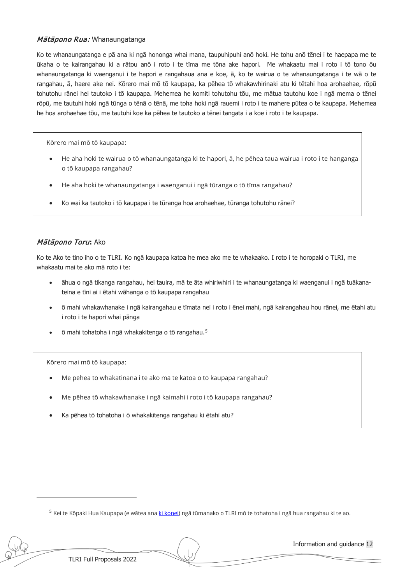#### Mātāpono Rua: Whanaungatanga

Ko te whanaungatanga e pā ana ki ngā hononga whai mana, taupuhipuhi anō hoki. He tohu anō tēnei i te haepapa me te ūkaha o te kairangahau ki a rātou anō i roto i te tīma me tōna ake hapori. Me whakaatu mai i roto i tō tono ōu whanaungatanga ki waenganui i te hapori e rangahaua ana e koe, ā, ko te wairua o te whanaungatanga i te wā o te rangahau, ā, haere ake nei. Kōrero mai mō tō kaupapa, ka pēhea tō whakawhirinaki atu ki tētahi hoa arohaehae, rōpū tohutohu rānei hei tautoko i tō kaupapa. Mehemea he komiti tohutohu tōu, me mātua tautohu koe i ngā mema o tēnei rōpū, me tautuhi hoki ngā tūnga o tēnā o tēnā, me toha hoki ngā rauemi i roto i te mahere pūtea o te kaupapa. Mehemea he hoa arohaehae tōu, me tautuhi koe ka pēhea te tautoko a tēnei tangata i a koe i roto i te kaupapa.

Kōrero mai mō tō kaupapa:

- He aha hoki te wairua o tō whanaungatanga ki te hapori, ā, he pēhea taua wairua i roto i te hanganga o tō kaupapa rangahau?
- He aha hoki te whanaungatanga i waenganui i ngā tūranga o tō tīma rangahau?
- Ko wai ka tautoko i tō kaupapa i te tūranga hoa arohaehae, tūranga tohutohu rānei?

#### Mātāpono Toru**:** Ako

Ko te Ako te tino iho o te TLRI. Ko ngā kaupapa katoa he mea ako me te whakaako. I roto i te horopaki o TLRI, me whakaatu mai te ako mā roto i te:

- āhua o ngā tikanga rangahau, hei tauira, mā te āta whiriwhiri i te whanaungatanga ki waenganui i ngā tuākanateina e tīni ai i ētahi wāhanga o tō kaupapa rangahau
- ō mahi whakawhanake i ngā kairangahau e tīmata nei i roto i ēnei mahi, ngā kairangahau hou rānei, me ētahi atu i roto i te hapori whai pānga
- ō mahi tohatoha i ngā whakakitenga o tō rangahau.[5](#page-13-0)

Kōrero mai mō tō kaupapa:

- Me pēhea tō whakatinana i te ako mā te katoa o tō kaupapa rangahau?
- Me pēhea tō whakawhanake i ngā kaimahi i roto i tō kaupapa rangahau?
- Ka pēhea tō tohatoha i ō whakakitenga rangahau ki ētahi atu?

<span id="page-13-0"></span><sup>5</sup> Kei te Kōpaki Hua Kaupapa (e wātea ana [ki konei\)](http://www.tlri.org.nz/sites/default/files/pages/Project%20Output%20Portfolio%20Guidelines%20-%202018_0.pdf) ngā tūmanako o TLRI mō te tohatoha i ngā hua rangahau ki te ao.

TLRI Full Proposals 2022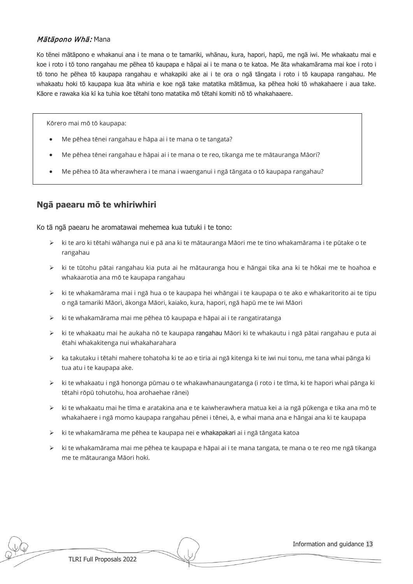#### Mātāpono Whā: Mana

Ko tēnei mātāpono e whakanui ana i te mana o te tamariki, whānau, kura, hapori, hapū, me ngā iwi. Me whakaatu mai e koe i roto i tō tono rangahau me pēhea tō kaupapa e hāpai ai i te mana o te katoa. Me āta whakamārama mai koe i roto i tō tono he pēhea tō kaupapa rangahau e whakapiki ake ai i te ora o ngā tāngata i roto i tō kaupapa rangahau. Me whakaatu hoki tō kaupapa kua āta whiria e koe ngā take matatika mātāmua, ka pēhea hoki tō whakahaere i aua take. Kāore e rawaka kia kī ka tuhia koe tētahi tono matatika mō tētahi komiti nō tō whakahaaere.

Kōrero mai mō tō kaupapa:

- Me pēhea tēnei rangahau e hāpa ai i te mana o te tangata?
- Me pēhea tēnei rangahau e hāpai ai i te mana o te reo, tikanga me te mātauranga Māori?
- Me pēhea tō āta wherawhera i te mana i waenganui i ngā tāngata o tō kaupapa rangahau?

### **Ngā paearu mō te whiriwhiri**

Ko tā ngā paearu he aromatawai mehemea kua tutuki i te tono:

- $\triangleright$  ki te aro ki tētahi wāhanga nui e pā ana ki te mātauranga Māori me te tino whakamārama i te pūtake o te rangahau
- $\triangleright$  ki te tūtohu pātai rangahau kia puta ai he mātauranga hou e hāngai tika ana ki te hōkai me te hoahoa e whakaarotia ana mō te kaupapa rangahau
- $\triangleright$  ki te whakamārama mai i ngā hua o te kaupapa hei whāngai i te kaupapa o te ako e whakaritorito ai te tipu o ngā tamariki Māori, ākonga Māori, kaiako, kura, hapori, ngā hapū me te iwi Māori
- $\triangleright$  ki te whakamārama mai me pēhea tō kaupapa e hāpai ai i te rangatiratanga
- ► ki te whakaatu mai he aukaha nō te kaupapa rangahau Māori ki te whakautu i ngā pātai rangahau e puta ai ētahi whakakitenga nui whakaharahara
- $\triangleright$  ka takutaku i tētahi mahere tohatoha ki te ao e tiria ai ngā kitenga ki te iwi nui tonu, me tana whai pānga ki tua atu i te kaupapa ake.
- ▶ ki te whakaatu i ngā hononga pūmau o te whakawhanaungatanga (i roto i te tīma, ki te hapori whai pānga ki tētahi rōpū tohutohu, hoa arohaehae rānei)
- $\triangleright$  ki te whakaatu mai he tīma e aratakina ana e te kaiwherawhera matua kei a ia ngā pūkenga e tika ana mō te whakahaere i ngā momo kaupapa rangahau pēnei i tēnei, ā, e whai mana ana e hāngai ana ki te kaupapa
- $\triangleright$  ki te whakamārama me pēhea te kaupapa nei e whakapakari ai i ngā tāngata katoa
- $\triangleright$  ki te whakamārama mai me pēhea te kaupapa e hāpai ai i te mana tangata, te mana o te reo me ngā tikanga me te mātauranga Māori hoki.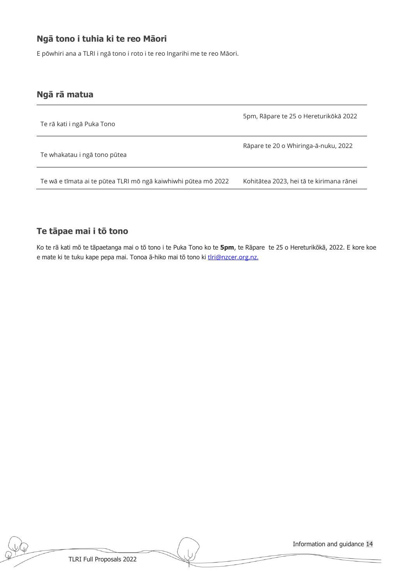### **Ngā tono i tuhia ki te reo Māori**

E pōwhiri ana a TLRI i ngā tono i roto i te reo Ingarihi me te reo Māori.

### **Ngā rā matua**

| Te rā kati i ngā Puka Tono                                     | 5pm, Rāpare te 25 o Hereturikōkā 2022    |
|----------------------------------------------------------------|------------------------------------------|
| Te whakatau i ngā tono pūtea                                   | Rāpare te 20 o Whiringa-ā-nuku, 2022     |
| Te wā e tīmata ai te pūtea TLRI mō ngā kaiwhiwhi pūtea mō 2022 | Kohitātea 2023, hei tā te kirimana rānei |

### **Te tāpae mai i tō tono**

Ko te rā kati mō te tāpaetanga mai o tō tono i te Puka Tono ko te **5pm**, te Rāpare te 25 o Hereturikōkā, 2022. E kore koe e mate ki te tuku kape pepa mai. Tonoa ā-hiko mai tō tono ki thri@nzcer.org.nz.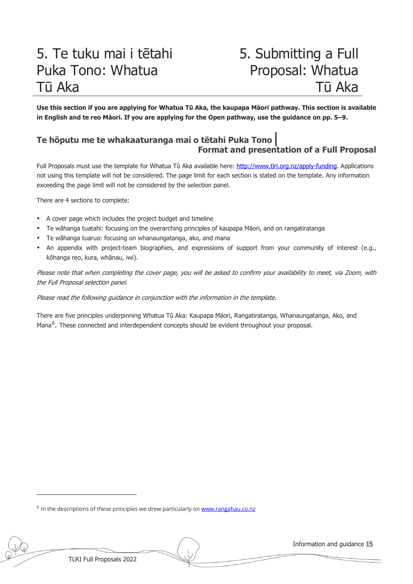### 5. Te tuku mai i tētahi Puka Tono: Whatua Tū Aka

### 5. Submitting a Full Proposal: Whatua Tū Aka

**Use this section if you are applying for Whatua Tū Aka, the kaupapa Māori pathway. This section is available**  in English and te reo Māori. If you are applying for the Open pathway, use the guidance on pp. 5-9.

### **Te hōputu me te whakaaturanga mai o tētahi Puka Tono**│ **Format and presentation of a Full Proposal**

Full Proposals must use the template for Whatua Tū Aka available here: [http://www.tlri.org.nz/apply](http://www.tlri.org.nz/apply-funding)-funding. Applications not using this template will not be considered. The page limit for each section is stated on the template. Any information exceeding the page limit will not be considered by the selection panel.

There are 4 sections to complete:

- A cover page which includes the project budget and timeline
- Te wāhanga tuatahi: focusing on the overarching principles of kaupapa Māori, and on rangatiratanga
- Te wāhanga tuarua: focusing on whanaungatanga, ako, and mana
- An appendix with project-team biographies, and expressions of support from your community of interest (e.g., kōhanga reo, kura, whānau, iwi).

Please note that when completing the cover page, you will be asked to confirm your availability to meet, via Zoom, with the Full Proposal selection panel.

#### Please read the following guidance in conjunction with the information in the template.

There are five principles underpinning Whatua Tū Aka: Kaupapa Māori, Rangatiratanga, Whanaungatanga, Ako, and Mana<sup>[6](#page-16-0)</sup>. These connected and interdependent concepts should be evident throughout your proposal.

<span id="page-16-0"></span><sup>6</sup> In the descriptions of these principles we drew particularly o[n www.rangahau.co.nz](http://www.rangahau.co.nz/)

TLRI Full Proposals 2022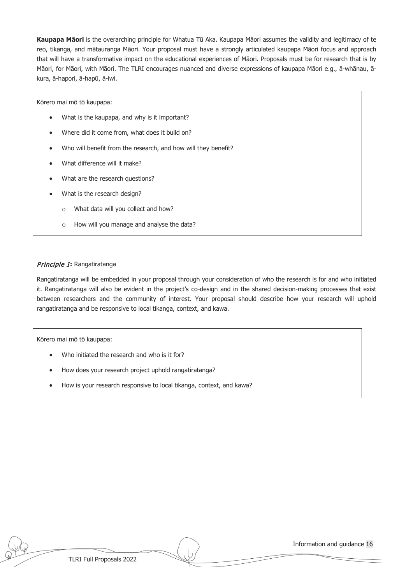**Kaupapa Māori** is the overarching principle for Whatua Tū Aka. Kaupapa Māori assumes the validity and legitimacy of te reo, tikanga, and mātauranga Māori. Your proposal must have a strongly articulated kaupapa Māori focus and approach that will have a transformative impact on the educational experiences of Māori. Proposals must be for research that is by Māori, for Māori, with Māori. The TLRI encourages nuanced and diverse expressions of kaupapa Māori e.g., ā-whānau, ākura, ā-hapori, ā-hapū, ā-iwi.

Kōrero mai mō tō kaupapa:

- What is the kaupapa, and why is it important?
- Where did it come from, what does it build on?
- Who will benefit from the research, and how will they benefit?
- What difference will it make?
- What are the research questions?
- What is the research design?
	- o What data will you collect and how?
	- o How will you manage and analyse the data?

#### Principle 1**:** Rangatiratanga

Rangatiratanga will be embedded in your proposal through your consideration of who the research is for and who initiated it. Rangatiratanga will also be evident in the project's co-design and in the shared decision-making processes that exist between researchers and the community of interest. Your proposal should describe how your research will uphold rangatiratanga and be responsive to local tikanga, context, and kawa.

Kōrero mai mō tō kaupapa:

- Who initiated the research and who is it for?
- How does your research project uphold rangatiratanga?
- How is your research responsive to local tikanga, context, and kawa?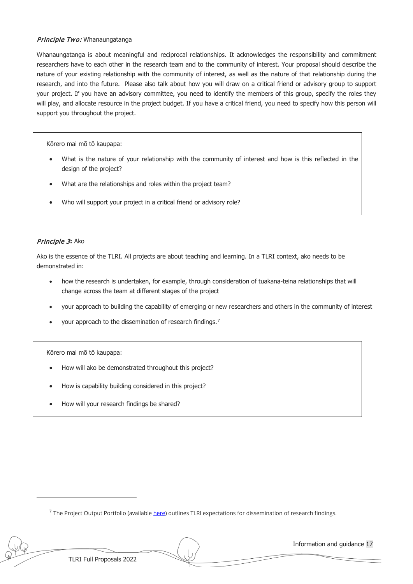#### Principle Two: Whanaungatanga

Whanaungatanga is about meaningful and reciprocal relationships. It acknowledges the responsibility and commitment researchers have to each other in the research team and to the community of interest. Your proposal should describe the nature of your existing relationship with the community of interest, as well as the nature of that relationship during the research, and into the future. Please also talk about how you will draw on a critical friend or advisory group to support your project. If you have an advisory committee, you need to identify the members of this group, specify the roles they will play, and allocate resource in the project budget. If you have a critical friend, you need to specify how this person will support you throughout the project.

Kōrero mai mō tō kaupapa:

- What is the nature of your relationship with the community of interest and how is this reflected in the design of the project?
- What are the relationships and roles within the project team?
- Who will support your project in a critical friend or advisory role?

#### Principle 3**:** Ako

Ako is the essence of the TLRI. All projects are about teaching and learning. In a TLRI context, ako needs to be demonstrated in:

- how the research is undertaken, for example, through consideration of tuakana-teina relationships that will change across the team at different stages of the project
- your approach to building the capability of emerging or new researchers and others in the community of interest
- your approach to the dissemination of research findings.[7](#page-18-0)

Kōrero mai mō tō kaupapa:

- How will ako be demonstrated throughout this project?
- How is capability building considered in this project?
- How will your research findings be shared?

<span id="page-18-0"></span> $^7$  The Project Output Portfolio (availabl[e here\)](http://www.tlri.org.nz/sites/default/files/pages/Project%20Output%20Portfolio%20Guidelines%20-%202018_0.pdf) outlines TLRI expectations for dissemination of research findings.

TLRI Full Proposals 2022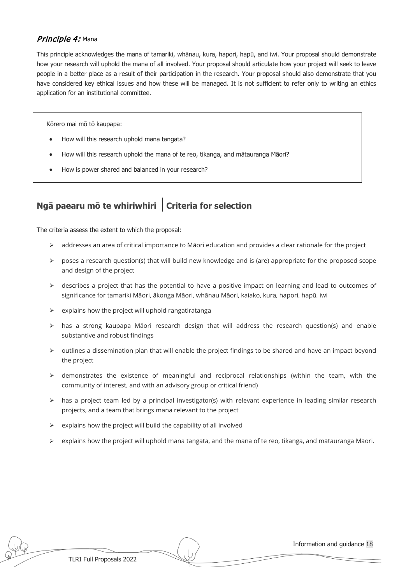### Principle 4: Mana

This principle acknowledges the mana of tamariki, whānau, kura, hapori, hapū, and iwi. Your proposal should demonstrate how your research will uphold the mana of all involved. Your proposal should articulate how your project will seek to leave people in a better place as a result of their participation in the research. Your proposal should also demonstrate that you have considered key ethical issues and how these will be managed. It is not sufficient to refer only to writing an ethics application for an institutional committee.

Kōrero mai mō tō kaupapa:

- How will this research uphold mana tangata?
- How will this research uphold the mana of te reo, tikanga, and mātauranga Māori?
- How is power shared and balanced in your research?

### **Ngā paearu mō te whiriwhiri** │**Criteria for selection**

The criteria assess the extent to which the proposal:

- $\triangleright$  addresses an area of critical importance to Māori education and provides a clear rationale for the project
- $\triangleright$  poses a research question(s) that will build new knowledge and is (are) appropriate for the proposed scope and design of the project
- $\triangleright$  describes a project that has the potential to have a positive impact on learning and lead to outcomes of significance for tamariki Māori, ākonga Māori, whānau Māori, kaiako, kura, hapori, hapū, iwi
- $\triangleright$  explains how the project will uphold rangatiratanga
- $\triangleright$  has a strong kaupapa Māori research design that will address the research question(s) and enable substantive and robust findings
- $\triangleright$  outlines a dissemination plan that will enable the project findings to be shared and have an impact beyond the project
- $\triangleright$  demonstrates the existence of meaningful and reciprocal relationships (within the team, with the community of interest, and with an advisory group or critical friend)
- $\triangleright$  has a project team led by a principal investigator(s) with relevant experience in leading similar research projects, and a team that brings mana relevant to the project
- $\triangleright$  explains how the project will build the capability of all involved
- $\triangleright$  explains how the project will uphold mana tangata, and the mana of te reo, tikanga, and mātauranga Māori.